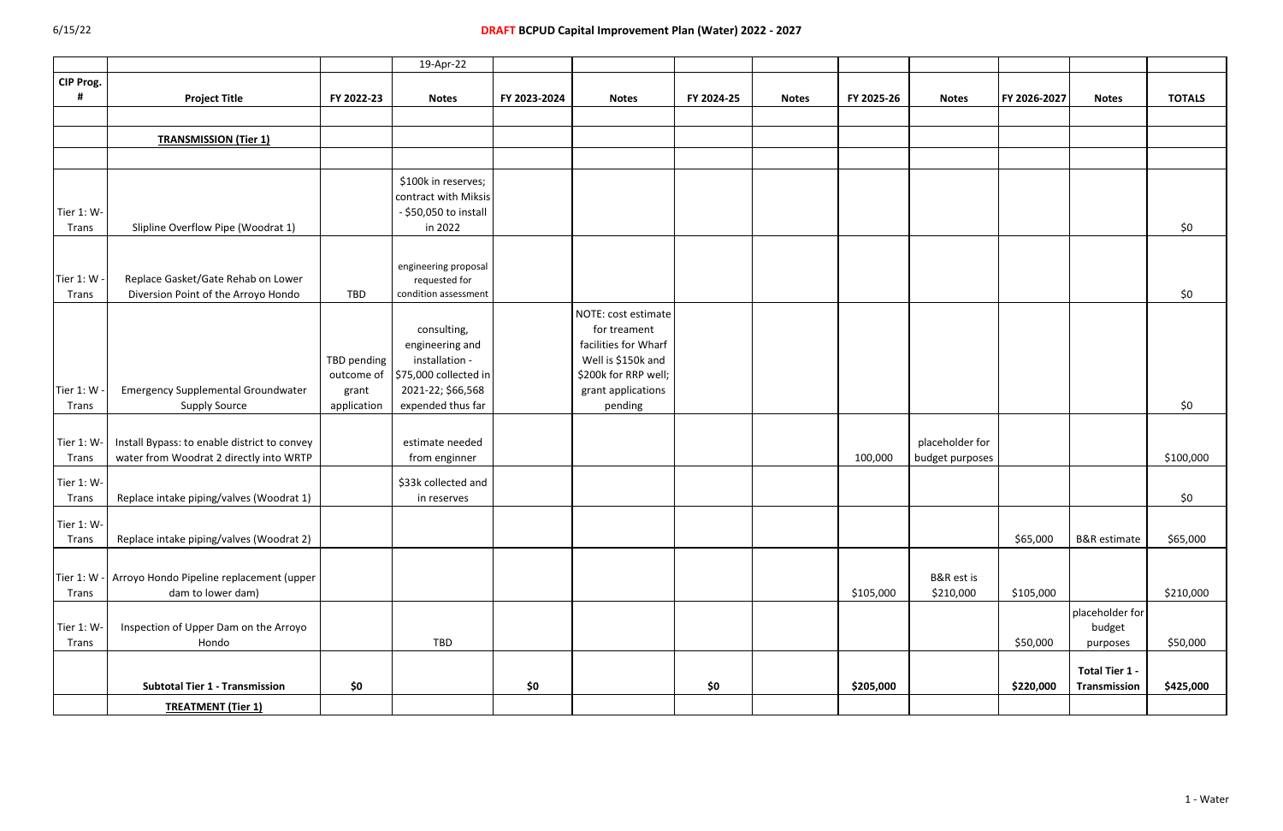| CIP Prog.<br><b>Project Title</b><br>FY 2022-23<br>FY 2023-2024<br>FY 2024-25<br>FY 2025-26<br>FY 2026-2027<br><b>Notes</b><br><b>Notes</b><br><b>Notes</b><br><b>Notes</b><br><b>Notes</b><br><b>TRANSMISSION (Tier 1)</b><br>\$100k in reserves;<br>contract with Miksis<br>Tier 1: W-<br>- \$50,050 to install | <b>TOTALS</b><br>\$0 |
|-------------------------------------------------------------------------------------------------------------------------------------------------------------------------------------------------------------------------------------------------------------------------------------------------------------------|----------------------|
|                                                                                                                                                                                                                                                                                                                   |                      |
|                                                                                                                                                                                                                                                                                                                   |                      |
|                                                                                                                                                                                                                                                                                                                   |                      |
|                                                                                                                                                                                                                                                                                                                   |                      |
|                                                                                                                                                                                                                                                                                                                   |                      |
|                                                                                                                                                                                                                                                                                                                   |                      |
|                                                                                                                                                                                                                                                                                                                   |                      |
|                                                                                                                                                                                                                                                                                                                   |                      |
|                                                                                                                                                                                                                                                                                                                   |                      |
| Slipline Overflow Pipe (Woodrat 1)<br>in 2022<br>Trans                                                                                                                                                                                                                                                            |                      |
|                                                                                                                                                                                                                                                                                                                   |                      |
|                                                                                                                                                                                                                                                                                                                   |                      |
| engineering proposal<br>Tier 1: W -<br>Replace Gasket/Gate Rehab on Lower                                                                                                                                                                                                                                         |                      |
| requested for<br>Diversion Point of the Arroyo Hondo<br>Trans<br>TBD<br>condition assessment                                                                                                                                                                                                                      | \$0                  |
|                                                                                                                                                                                                                                                                                                                   |                      |
| NOTE: cost estimate                                                                                                                                                                                                                                                                                               |                      |
| consulting,<br>for treament                                                                                                                                                                                                                                                                                       |                      |
| facilities for Wharf<br>engineering and                                                                                                                                                                                                                                                                           |                      |
| Well is \$150k and<br>installation -<br>TBD pending                                                                                                                                                                                                                                                               |                      |
| outcome of 575,000 collected in<br>\$200k for RRP well;                                                                                                                                                                                                                                                           |                      |
| Tier 1: W<br><b>Emergency Supplemental Groundwater</b><br>2021-22; \$66,568<br>grant applications<br>grant                                                                                                                                                                                                        |                      |
| expended thus far<br><b>Supply Source</b><br>pending<br><b>Trans</b><br>application                                                                                                                                                                                                                               | \$0                  |
|                                                                                                                                                                                                                                                                                                                   |                      |
| Tier 1: W-<br>Install Bypass: to enable district to convey<br>placeholder for<br>estimate needed                                                                                                                                                                                                                  |                      |
| water from Woodrat 2 directly into WRTP<br>from enginner<br>100,000<br><b>Trans</b><br>budget purposes                                                                                                                                                                                                            | \$100,000            |
|                                                                                                                                                                                                                                                                                                                   |                      |
| \$33k collected and<br>Tier 1: W-                                                                                                                                                                                                                                                                                 |                      |
| Replace intake piping/valves (Woodrat 1)<br><b>Trans</b><br>in reserves                                                                                                                                                                                                                                           | \$0                  |
| Tier 1: W-                                                                                                                                                                                                                                                                                                        |                      |
| \$65,000<br><b>B&amp;R</b> estimate<br>Replace intake piping/valves (Woodrat 2)<br>Trans                                                                                                                                                                                                                          | \$65,000             |
|                                                                                                                                                                                                                                                                                                                   |                      |
|                                                                                                                                                                                                                                                                                                                   |                      |
| Tier 1: W - Arroyo Hondo Pipeline replacement (upper<br>B&R est is                                                                                                                                                                                                                                                |                      |
| dam to lower dam)<br>\$210,000<br>\$105,000<br>\$105,000<br>Trans                                                                                                                                                                                                                                                 | \$210,000            |
| placeholder for                                                                                                                                                                                                                                                                                                   |                      |
| Tier 1: W-<br>Inspection of Upper Dam on the Arroyo<br>budget                                                                                                                                                                                                                                                     |                      |
| Hondo<br>TBD<br>\$50,000<br>Trans<br>purposes                                                                                                                                                                                                                                                                     | \$50,000             |
|                                                                                                                                                                                                                                                                                                                   |                      |
| Total Tier 1 -                                                                                                                                                                                                                                                                                                    |                      |
| \$0<br>\$0<br>\$0<br><b>Subtotal Tier 1 - Transmission</b><br>\$205,000<br>\$220,000<br>Transmission                                                                                                                                                                                                              | \$425,000            |
| <b>TREATMENT (Tier 1)</b>                                                                                                                                                                                                                                                                                         |                      |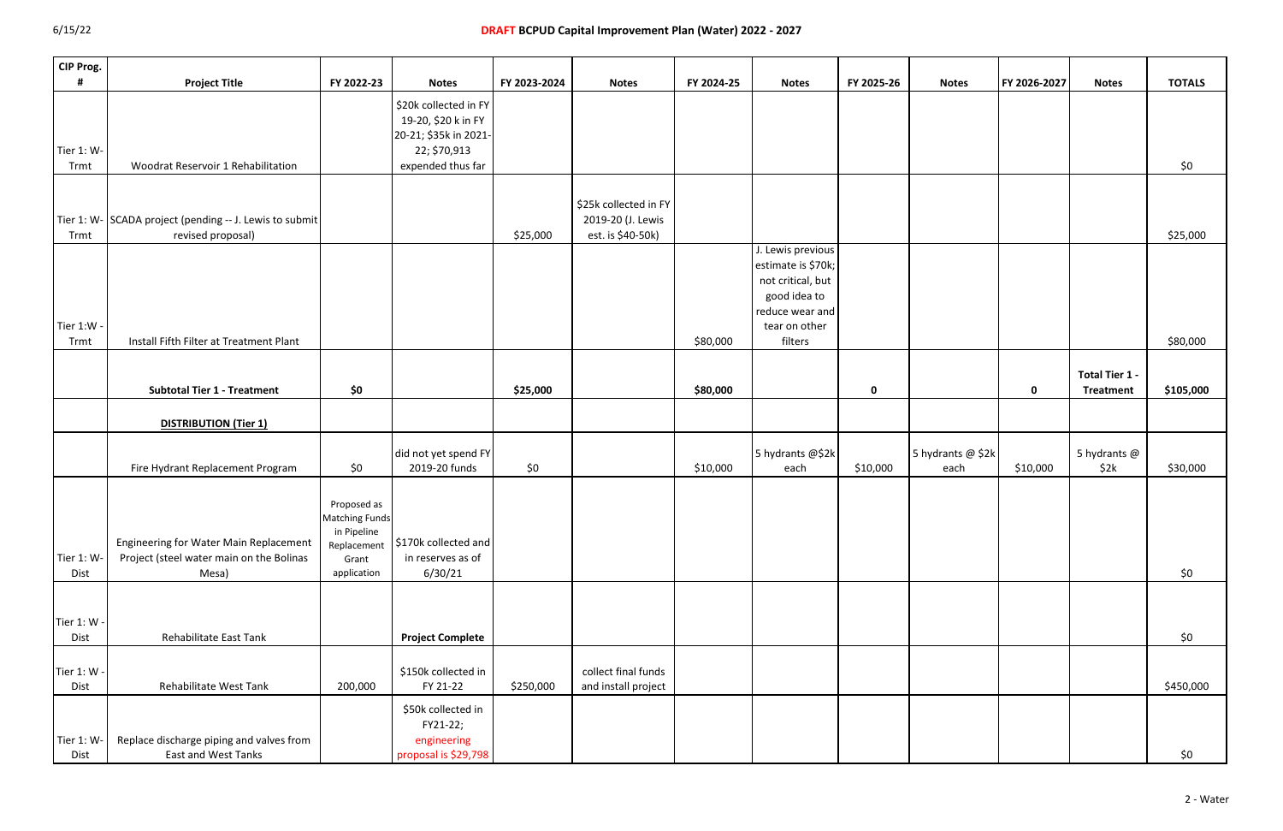| CIP Prog.           |                                                                                             |                                                                                            |                                                                                                            |              |                                                                 |            |                                                                                                                  |             |                           |              |                                    |               |
|---------------------|---------------------------------------------------------------------------------------------|--------------------------------------------------------------------------------------------|------------------------------------------------------------------------------------------------------------|--------------|-----------------------------------------------------------------|------------|------------------------------------------------------------------------------------------------------------------|-------------|---------------------------|--------------|------------------------------------|---------------|
|                     | <b>Project Title</b>                                                                        | FY 2022-23                                                                                 | <b>Notes</b>                                                                                               | FY 2023-2024 | <b>Notes</b>                                                    | FY 2024-25 | <b>Notes</b>                                                                                                     | FY 2025-26  | <b>Notes</b>              | FY 2026-2027 | <b>Notes</b>                       | <b>TOTALS</b> |
| Tier 1: W-<br>Trmt  | <b>Woodrat Reservoir 1 Rehabilitation</b>                                                   |                                                                                            | \$20k collected in FY<br>19-20, \$20 k in FY<br>20-21; \$35k in 2021-<br>22; \$70,913<br>expended thus far |              |                                                                 |            |                                                                                                                  |             |                           |              |                                    | \$0           |
|                     |                                                                                             |                                                                                            |                                                                                                            |              |                                                                 |            |                                                                                                                  |             |                           |              |                                    |               |
| Trmt                | Tier 1: W- SCADA project (pending -- J. Lewis to submit<br>revised proposal)                |                                                                                            |                                                                                                            | \$25,000     | \$25k collected in FY<br>2019-20 (J. Lewis<br>est. is \$40-50k) |            |                                                                                                                  |             |                           |              |                                    | \$25,000      |
| Tier 1:W -          |                                                                                             |                                                                                            |                                                                                                            |              |                                                                 |            | J. Lewis previous<br>estimate is \$70k;<br>not critical, but<br>good idea to<br>reduce wear and<br>tear on other |             |                           |              |                                    |               |
| Trmt                | Install Fifth Filter at Treatment Plant                                                     |                                                                                            |                                                                                                            |              |                                                                 | \$80,000   | filters                                                                                                          |             |                           |              |                                    | \$80,000      |
|                     | <b>Subtotal Tier 1 - Treatment</b>                                                          | \$0                                                                                        |                                                                                                            | \$25,000     |                                                                 | \$80,000   |                                                                                                                  | $\mathbf 0$ |                           | $\mathbf 0$  | Total Tier 1 -<br><b>Treatment</b> | \$105,000     |
|                     | <b>DISTRIBUTION (Tier 1)</b>                                                                |                                                                                            |                                                                                                            |              |                                                                 |            |                                                                                                                  |             |                           |              |                                    |               |
|                     | Fire Hydrant Replacement Program                                                            | \$0                                                                                        | did not yet spend FY<br>2019-20 funds                                                                      | \$0          |                                                                 | \$10,000   | 5 hydrants @\$2k<br>each                                                                                         | \$10,000    | 5 hydrants @ \$2k<br>each | \$10,000     | 5 hydrants @<br>\$2k               | \$30,000      |
| Tier 1: W-<br>Dist  | Engineering for Water Main Replacement<br>Project (steel water main on the Bolinas<br>Mesa) | Proposed as<br><b>Matching Funds</b><br>in Pipeline<br>Replacement<br>Grant<br>application | \$170k collected and<br>in reserves as of<br>6/30/21                                                       |              |                                                                 |            |                                                                                                                  |             |                           |              |                                    | \$0           |
|                     |                                                                                             |                                                                                            |                                                                                                            |              |                                                                 |            |                                                                                                                  |             |                           |              |                                    |               |
| Tier 1: W -<br>Dist | Rehabilitate East Tank                                                                      |                                                                                            | <b>Project Complete</b>                                                                                    |              |                                                                 |            |                                                                                                                  |             |                           |              |                                    | \$0           |
| Tier 1: W -<br>Dist | Rehabilitate West Tank                                                                      | 200,000                                                                                    | \$150k collected in<br>FY 21-22                                                                            | \$250,000    | collect final funds<br>and install project                      |            |                                                                                                                  |             |                           |              |                                    | \$450,000     |
| Tier 1: W-<br>Dist  | Replace discharge piping and valves from<br>East and West Tanks                             |                                                                                            | \$50k collected in<br>FY21-22;<br>engineering<br>proposal is \$29,798                                      |              |                                                                 |            |                                                                                                                  |             |                           |              |                                    | \$0           |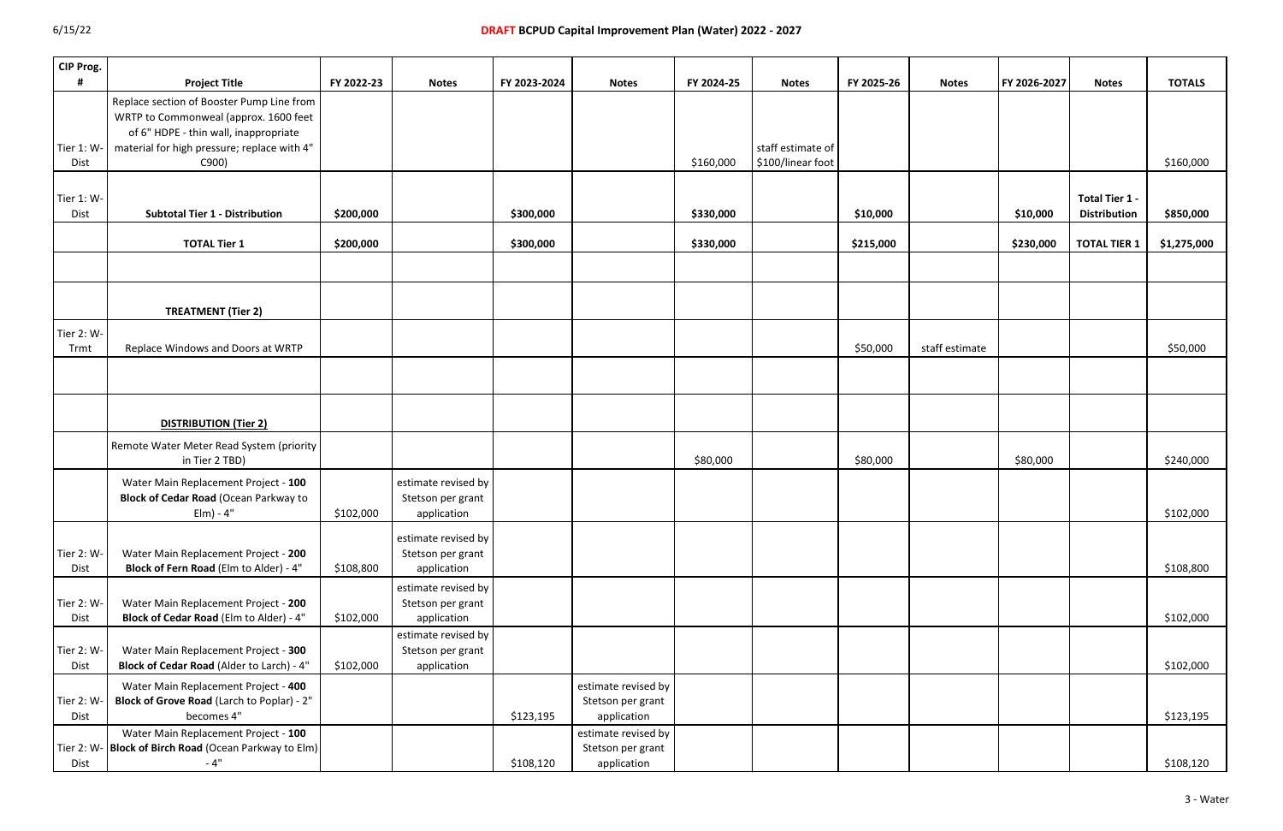| CIP Prog.          |                                                                                                                                                                                     |            |                                                         |              |                                                         |            |                                        |            |                |              |                                       |               |
|--------------------|-------------------------------------------------------------------------------------------------------------------------------------------------------------------------------------|------------|---------------------------------------------------------|--------------|---------------------------------------------------------|------------|----------------------------------------|------------|----------------|--------------|---------------------------------------|---------------|
|                    | <b>Project Title</b>                                                                                                                                                                | FY 2022-23 | <b>Notes</b>                                            | FY 2023-2024 | <b>Notes</b>                                            | FY 2024-25 | <b>Notes</b>                           | FY 2025-26 | <b>Notes</b>   | FY 2026-2027 | <b>Notes</b>                          | <b>TOTALS</b> |
| Tier 1: W-<br>Dist | Replace section of Booster Pump Line from<br>WRTP to Commonweal (approx. 1600 feet<br>of 6" HDPE - thin wall, inappropriate<br>material for high pressure; replace with 4"<br>C900) |            |                                                         |              |                                                         | \$160,000  | staff estimate of<br>\$100/linear foot |            |                |              |                                       | \$160,000     |
|                    |                                                                                                                                                                                     |            |                                                         |              |                                                         |            |                                        |            |                |              |                                       |               |
| Tier 1: W-<br>Dist | <b>Subtotal Tier 1 - Distribution</b>                                                                                                                                               | \$200,000  |                                                         | \$300,000    |                                                         | \$330,000  |                                        | \$10,000   |                | \$10,000     | Total Tier 1 -<br><b>Distribution</b> | \$850,000     |
|                    | <b>TOTAL Tier 1</b>                                                                                                                                                                 | \$200,000  |                                                         | \$300,000    |                                                         | \$330,000  |                                        | \$215,000  |                | \$230,000    | <b>TOTAL TIER 1</b>                   | \$1,275,000   |
|                    |                                                                                                                                                                                     |            |                                                         |              |                                                         |            |                                        |            |                |              |                                       |               |
|                    | <b>TREATMENT (Tier 2)</b>                                                                                                                                                           |            |                                                         |              |                                                         |            |                                        |            |                |              |                                       |               |
| Tier 2: W-<br>Trmt | Replace Windows and Doors at WRTP                                                                                                                                                   |            |                                                         |              |                                                         |            |                                        | \$50,000   | staff estimate |              |                                       | \$50,000      |
|                    |                                                                                                                                                                                     |            |                                                         |              |                                                         |            |                                        |            |                |              |                                       |               |
|                    | <b>DISTRIBUTION (Tier 2)</b>                                                                                                                                                        |            |                                                         |              |                                                         |            |                                        |            |                |              |                                       |               |
|                    | Remote Water Meter Read System (priority<br>in Tier 2 TBD)                                                                                                                          |            |                                                         |              |                                                         | \$80,000   |                                        | \$80,000   |                | \$80,000     |                                       | \$240,000     |
|                    | Water Main Replacement Project - 100<br><b>Block of Cedar Road (Ocean Parkway to</b><br>$Elm) - 4"$                                                                                 | \$102,000  | estimate revised by<br>Stetson per grant<br>application |              |                                                         |            |                                        |            |                |              |                                       | \$102,000     |
| Tier 2: W-<br>Dist | Water Main Replacement Project - 200<br>Block of Fern Road (Elm to Alder) - 4"                                                                                                      | \$108,800  | estimate revised by<br>Stetson per grant<br>application |              |                                                         |            |                                        |            |                |              |                                       | \$108,800     |
| Tier 2: W-<br>Dist | Water Main Replacement Project - 200<br>Block of Cedar Road (Elm to Alder) - 4"                                                                                                     | \$102,000  | estimate revised by<br>Stetson per grant<br>application |              |                                                         |            |                                        |            |                |              |                                       | \$102,000     |
| Tier 2: W-<br>Dist | Water Main Replacement Project - 300<br>Block of Cedar Road (Alder to Larch) - 4"                                                                                                   | \$102,000  | estimate revised by<br>Stetson per grant<br>application |              |                                                         |            |                                        |            |                |              |                                       | \$102,000     |
| Tier 2: W-<br>Dist | Water Main Replacement Project - 400<br>Block of Grove Road (Larch to Poplar) - 2"<br>becomes 4"                                                                                    |            |                                                         | \$123,195    | estimate revised by<br>Stetson per grant<br>application |            |                                        |            |                |              |                                       | \$123,195     |
| Dist               | Water Main Replacement Project - 100<br>Tier 2: W- Block of Birch Road (Ocean Parkway to Elm)<br>$-4"$                                                                              |            |                                                         | \$108,120    | estimate revised by<br>Stetson per grant<br>application |            |                                        |            |                |              |                                       | \$108,120     |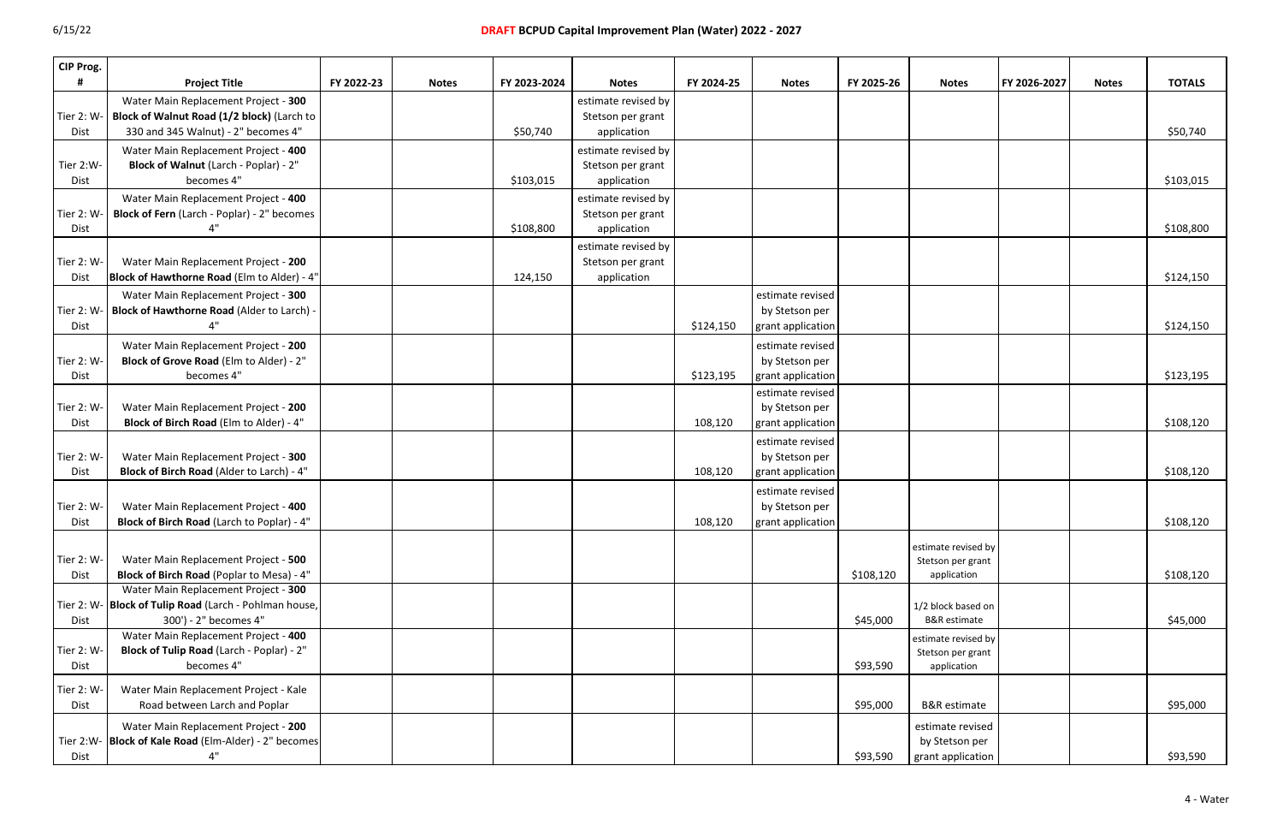| CIP Prog.   |                                                         |            |              |              |                     |            |                   |            |                                          |              |              |               |
|-------------|---------------------------------------------------------|------------|--------------|--------------|---------------------|------------|-------------------|------------|------------------------------------------|--------------|--------------|---------------|
|             | <b>Project Title</b>                                    | FY 2022-23 | <b>Notes</b> | FY 2023-2024 | <b>Notes</b>        | FY 2024-25 | <b>Notes</b>      | FY 2025-26 | <b>Notes</b>                             | FY 2026-2027 | <b>Notes</b> | <b>TOTALS</b> |
|             | Water Main Replacement Project - 300                    |            |              |              | estimate revised by |            |                   |            |                                          |              |              |               |
| Tier 2: W-  | Block of Walnut Road (1/2 block) (Larch to              |            |              |              | Stetson per grant   |            |                   |            |                                          |              |              |               |
| Dist        | 330 and 345 Walnut) - 2" becomes 4"                     |            |              | \$50,740     | application         |            |                   |            |                                          |              |              | \$50,740      |
|             | Water Main Replacement Project - 400                    |            |              |              | estimate revised by |            |                   |            |                                          |              |              |               |
| Tier 2:W-   | Block of Walnut (Larch - Poplar) - 2"                   |            |              |              | Stetson per grant   |            |                   |            |                                          |              |              |               |
| <b>Dist</b> | becomes 4"                                              |            |              | \$103,015    | application         |            |                   |            |                                          |              |              | \$103,015     |
|             | Water Main Replacement Project - 400                    |            |              |              | estimate revised by |            |                   |            |                                          |              |              |               |
| Tier 2: W-  | Block of Fern (Larch - Poplar) - 2" becomes             |            |              |              | Stetson per grant   |            |                   |            |                                          |              |              |               |
| <b>Dist</b> | 4"                                                      |            |              | \$108,800    | application         |            |                   |            |                                          |              |              | \$108,800     |
|             |                                                         |            |              |              | estimate revised by |            |                   |            |                                          |              |              |               |
| Tier 2: W-  | Water Main Replacement Project - 200                    |            |              |              | Stetson per grant   |            |                   |            |                                          |              |              |               |
| Dist        | Block of Hawthorne Road (Elm to Alder) - 4"             |            |              | 124,150      | application         |            |                   |            |                                          |              |              | \$124,150     |
|             | Water Main Replacement Project - 300                    |            |              |              |                     |            | estimate revised  |            |                                          |              |              |               |
|             | Tier 2: W-   Block of Hawthorne Road (Alder to Larch) - |            |              |              |                     |            | by Stetson per    |            |                                          |              |              |               |
| <b>Dist</b> |                                                         |            |              |              |                     | \$124,150  | grant application |            |                                          |              |              | \$124,150     |
|             | Water Main Replacement Project - 200                    |            |              |              |                     |            | estimate revised  |            |                                          |              |              |               |
| Tier 2: W-  | Block of Grove Road (Elm to Alder) - 2"                 |            |              |              |                     |            | by Stetson per    |            |                                          |              |              |               |
| <b>Dist</b> | becomes 4"                                              |            |              |              |                     | \$123,195  | grant application |            |                                          |              |              | \$123,195     |
|             |                                                         |            |              |              |                     |            | estimate revised  |            |                                          |              |              |               |
| Tier 2: W-  | Water Main Replacement Project - 200                    |            |              |              |                     |            | by Stetson per    |            |                                          |              |              |               |
| Dist        | Block of Birch Road (Elm to Alder) - 4"                 |            |              |              |                     | 108,120    | grant application |            |                                          |              |              | \$108,120     |
|             |                                                         |            |              |              |                     |            | estimate revised  |            |                                          |              |              |               |
| Tier 2: W-  | Water Main Replacement Project - 300                    |            |              |              |                     |            | by Stetson per    |            |                                          |              |              |               |
| Dist        | Block of Birch Road (Alder to Larch) - 4"               |            |              |              |                     | 108,120    | grant application |            |                                          |              |              | \$108,120     |
|             |                                                         |            |              |              |                     |            | estimate revised  |            |                                          |              |              |               |
| Tier 2: W-  | Water Main Replacement Project - 400                    |            |              |              |                     |            | by Stetson per    |            |                                          |              |              |               |
| Dist        | Block of Birch Road (Larch to Poplar) - 4"              |            |              |              |                     | 108,120    | grant application |            |                                          |              |              | \$108,120     |
|             |                                                         |            |              |              |                     |            |                   |            |                                          |              |              |               |
| Tier 2: W-  | Water Main Replacement Project - 500                    |            |              |              |                     |            |                   |            | estimate revised by<br>Stetson per grant |              |              |               |
| Dist        | Block of Birch Road (Poplar to Mesa) - 4"               |            |              |              |                     |            |                   | \$108,120  | application                              |              |              | \$108,120     |
|             | Water Main Replacement Project - 300                    |            |              |              |                     |            |                   |            |                                          |              |              |               |
|             | Tier 2: W- Block of Tulip Road (Larch - Pohlman house,  |            |              |              |                     |            |                   |            | 1/2 block based on                       |              |              |               |
| Dist        | 300') - 2" becomes 4"                                   |            |              |              |                     |            |                   | \$45,000   | <b>B&amp;R</b> estimate                  |              |              | \$45,000      |
|             | Water Main Replacement Project - 400                    |            |              |              |                     |            |                   |            | estimate revised by                      |              |              |               |
| Tier 2: W-  | Block of Tulip Road (Larch - Poplar) - 2"               |            |              |              |                     |            |                   |            | Stetson per grant                        |              |              |               |
| Dist        | becomes 4"                                              |            |              |              |                     |            |                   | \$93,590   | application                              |              |              |               |
| Tier 2: W-  | Water Main Replacement Project - Kale                   |            |              |              |                     |            |                   |            |                                          |              |              |               |
| Dist        | Road between Larch and Poplar                           |            |              |              |                     |            |                   | \$95,000   | <b>B&amp;R</b> estimate                  |              |              | \$95,000      |
|             |                                                         |            |              |              |                     |            |                   |            |                                          |              |              |               |
|             | Water Main Replacement Project - 200                    |            |              |              |                     |            |                   |            | estimate revised                         |              |              |               |
|             | Tier 2:W- Block of Kale Road (Elm-Alder) - 2" becomes   |            |              |              |                     |            |                   |            | by Stetson per                           |              |              |               |
| Dist        | 4"                                                      |            |              |              |                     |            |                   | \$93,590   | grant application                        |              |              | \$93,590      |